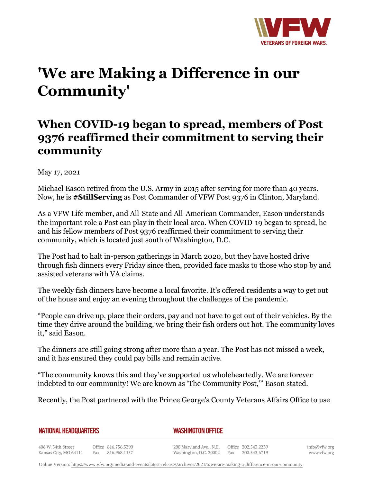

## **'We are Making a Difference in our Community'**

## **When COVID-19 began to spread, members of Post 9376 reaffirmed their commitment to serving their community**

May 17, 2021

Michael Eason retired from the U.S. Army in 2015 after serving for more than 40 years. Now, he is **#StillServing** as Post Commander of VFW Post 9376 in Clinton, Maryland.

As a VFW Life member, and All-State and All-American Commander, Eason understands the important role a Post can play in their local area. When COVID-19 began to spread, he and his fellow members of Post 9376 reaffirmed their commitment to serving their community, which is located just south of Washington, D.C.

The Post had to halt in-person gatherings in March 2020, but they have hosted drive through fish dinners every Friday since then, provided face masks to those who stop by and assisted veterans with VA claims.

The weekly fish dinners have become a local favorite. It's offered residents a way to get out of the house and enjoy an evening throughout the challenges of the pandemic.

"People can drive up, place their orders, pay and not have to get out of their vehicles. By the time they drive around the building, we bring their fish orders out hot. The community loves it," said Eason.

The dinners are still going strong after more than a year. The Post has not missed a week, and it has ensured they could pay bills and remain active.

"The community knows this and they've supported us wholeheartedly. We are forever indebted to our community! We are known as 'The Community Post,'" Eason stated.

Recently, the Post partnered with the Prince George's County Veterans Affairs Office to use

| NATIONAL HEADQUARTERS |  |  |
|-----------------------|--|--|
|-----------------------|--|--|

*WASHINGTON OFFICE* 

406 W. 34th Street Office 816.756.3390 Fax 816.968.1157 Kansas City, MO 64111

200 Maryland Ave., N.E. Washington, D.C. 20002

Online Version:<https://www.vfw.org/media-and-events/latest-releases/archives/2021/5/we-are-making-a-difference-in-our-community>